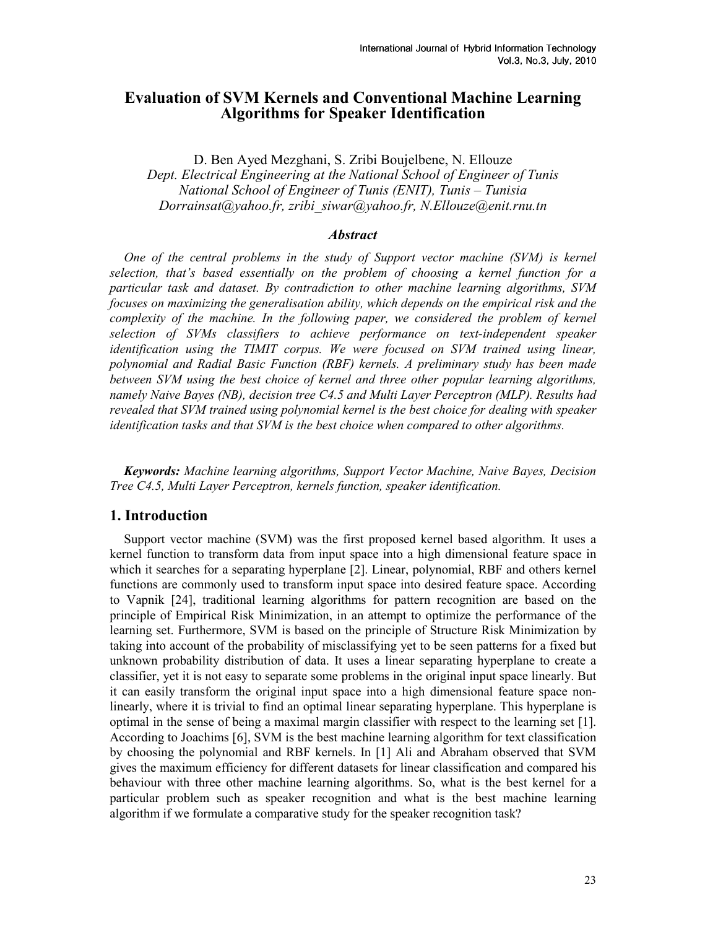# Evaluation of SVM Kernels and Conventional Machine Learning Algorithms for Speaker Identification

D. Ben Ayed Mezghani, S. Zribi Boujelbene, N. Ellouze Dept. Electrical Engineering at the National School of Engineer of Tunis National School of Engineer of Tunis (ENIT), Tunis – Tunisia Dorrainsat@yahoo.fr, zribi\_siwar@yahoo.fr, N.Ellouze@enit.rnu.tn

## **Abstract**

One of the central problems in the study of Support vector machine (SVM) is kernel selection, that's based essentially on the problem of choosing a kernel function for a particular task and dataset. By contradiction to other machine learning algorithms, SVM focuses on maximizing the generalisation ability, which depends on the empirical risk and the complexity of the machine. In the following paper, we considered the problem of kernel selection of SVMs classifiers to achieve performance on text-independent speaker identification using the TIMIT corpus. We were focused on SVM trained using linear, polynomial and Radial Basic Function (RBF) kernels. A preliminary study has been made between SVM using the best choice of kernel and three other popular learning algorithms, namely Naive Bayes (NB), decision tree C4.5 and Multi Layer Perceptron (MLP). Results had revealed that SVM trained using polynomial kernel is the best choice for dealing with speaker identification tasks and that SVM is the best choice when compared to other algorithms.

Keywords: Machine learning algorithms, Support Vector Machine, Naive Bayes, Decision Tree C4.5, Multi Layer Perceptron, kernels function, speaker identification.

# 1. Introduction

Support vector machine (SVM) was the first proposed kernel based algorithm. It uses a kernel function to transform data from input space into a high dimensional feature space in which it searches for a separating hyperplane [2]. Linear, polynomial, RBF and others kernel functions are commonly used to transform input space into desired feature space. According to Vapnik [24], traditional learning algorithms for pattern recognition are based on the principle of Empirical Risk Minimization, in an attempt to optimize the performance of the learning set. Furthermore, SVM is based on the principle of Structure Risk Minimization by taking into account of the probability of misclassifying yet to be seen patterns for a fixed but unknown probability distribution of data. It uses a linear separating hyperplane to create a classifier, yet it is not easy to separate some problems in the original input space linearly. But it can easily transform the original input space into a high dimensional feature space nonlinearly, where it is trivial to find an optimal linear separating hyperplane. This hyperplane is optimal in the sense of being a maximal margin classifier with respect to the learning set [1]. According to Joachims [6], SVM is the best machine learning algorithm for text classification by choosing the polynomial and RBF kernels. In [1] Ali and Abraham observed that SVM gives the maximum efficiency for different datasets for linear classification and compared his behaviour with three other machine learning algorithms. So, what is the best kernel for a particular problem such as speaker recognition and what is the best machine learning algorithm if we formulate a comparative study for the speaker recognition task?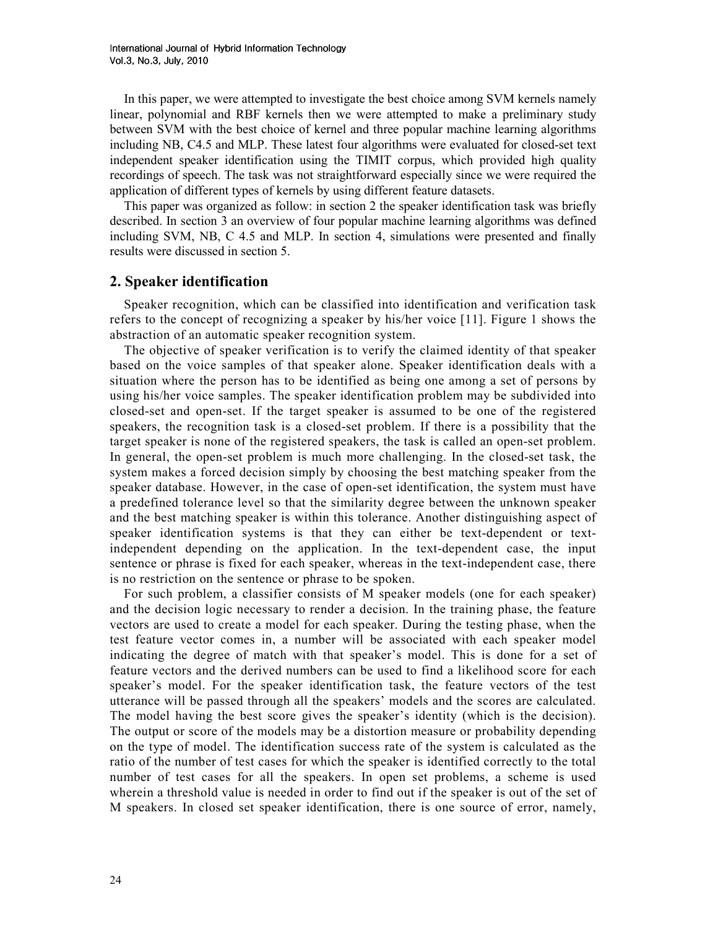In this paper, we were attempted to investigate the best choice among SVM kernels namely linear, polynomial and RBF kernels then we were attempted to make a preliminary study between SVM with the best choice of kernel and three popular machine learning algorithms including NB, C4.5 and MLP. These latest four algorithms were evaluated for closed-set text independent speaker identification using the TIMIT corpus, which provided high quality recordings of speech. The task was not straightforward especially since we were required the application of different types of kernels by using different feature datasets.

This paper was organized as follow: in section 2 the speaker identification task was briefly described. In section 3 an overview of four popular machine learning algorithms was defined including SVM, NB, C 4.5 and MLP. In section 4, simulations were presented and finally results were discussed in section 5.

# 2. Speaker identification

Speaker recognition, which can be classified into identification and verification task refers to the concept of recognizing a speaker by his/her voice [11]. Figure 1 shows the abstraction of an automatic speaker recognition system.

The objective of speaker verification is to verify the claimed identity of that speaker based on the voice samples of that speaker alone. Speaker identification deals with a situation where the person has to be identified as being one among a set of persons by using his/her voice samples. The speaker identification problem may be subdivided into closed-set and open-set. If the target speaker is assumed to be one of the registered speakers, the recognition task is a closed-set problem. If there is a possibility that the target speaker is none of the registered speakers, the task is called an open-set problem. In general, the open-set problem is much more challenging. In the closed-set task, the system makes a forced decision simply by choosing the best matching speaker from the speaker database. However, in the case of open-set identification, the system must have a predefined tolerance level so that the similarity degree between the unknown speaker and the best matching speaker is within this tolerance. Another distinguishing aspect of speaker identification systems is that they can either be text-dependent or textindependent depending on the application. In the text-dependent case, the input sentence or phrase is fixed for each speaker, whereas in the text-independent case, there is no restriction on the sentence or phrase to be spoken.

For such problem, a classifier consists of M speaker models (one for each speaker) and the decision logic necessary to render a decision. In the training phase, the feature vectors are used to create a model for each speaker. During the testing phase, when the test feature vector comes in, a number will be associated with each speaker model indicating the degree of match with that speaker's model. This is done for a set of feature vectors and the derived numbers can be used to find a likelihood score for each speaker's model. For the speaker identification task, the feature vectors of the test utterance will be passed through all the speakers' models and the scores are calculated. The model having the best score gives the speaker's identity (which is the decision). The output or score of the models may be a distortion measure or probability depending on the type of model. The identification success rate of the system is calculated as the ratio of the number of test cases for which the speaker is identified correctly to the total number of test cases for all the speakers. In open set problems, a scheme is used wherein a threshold value is needed in order to find out if the speaker is out of the set of M speakers. In closed set speaker identification, there is one source of error, namely,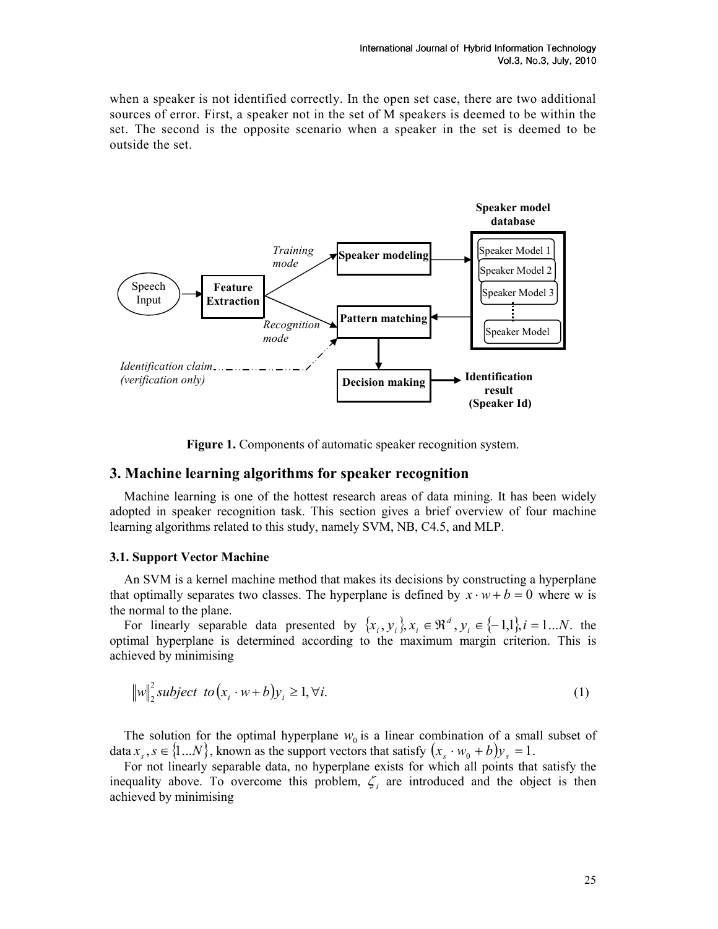when a speaker is not identified correctly. In the open set case, there are two additional sources of error. First, a speaker not in the set of M speakers is deemed to be within the set. The second is the opposite scenario when a speaker in the set is deemed to be outside the set.



Figure 1. Components of automatic speaker recognition system.

### 3. Machine learning algorithms for speaker recognition

Machine learning is one of the hottest research areas of data mining. It has been widely adopted in speaker recognition task. This section gives a brief overview of four machine learning algorithms related to this study, namely SVM, NB, C4.5, and MLP.

#### 3.1. Support Vector Machine

An SVM is a kernel machine method that makes its decisions by constructing a hyperplane that optimally separates two classes. The hyperplane is defined by  $x \cdot w + b = 0$  where w is the normal to the plane.

For linearly separable data presented by  $\{x_i, y_i\}$ ,  $x_i \in \mathbb{R}^d$ ,  $y_i \in \{-1,1\}$ ,  $i = 1...N$ .  $\{y_i, y_i\}$ ,  $x_i \in \mathbb{R}^d$ ,  $y_i \in \{-1, 1\}$ ,  $i = 1...N$ . the optimal hyperplane is determined according to the maximum margin criterion. This is achieved by minimising

$$
||w||_2^2 \text{ subject to } (x_i \cdot w + b)y_i \ge 1, \forall i. \tag{1}
$$

The solution for the optimal hyperplane  $w_0$  is a linear combination of a small subset of data  $x_s$ ,  $s \in \{1...N\}$ , known as the support vectors that satisfy  $(x_s \cdot w_0 + b)y_s = 1$ .

For not linearly separable data, no hyperplane exists for which all points that satisfy the inequality above. To overcome this problem,  $\zeta_i$  are introduced and the object is then achieved by minimising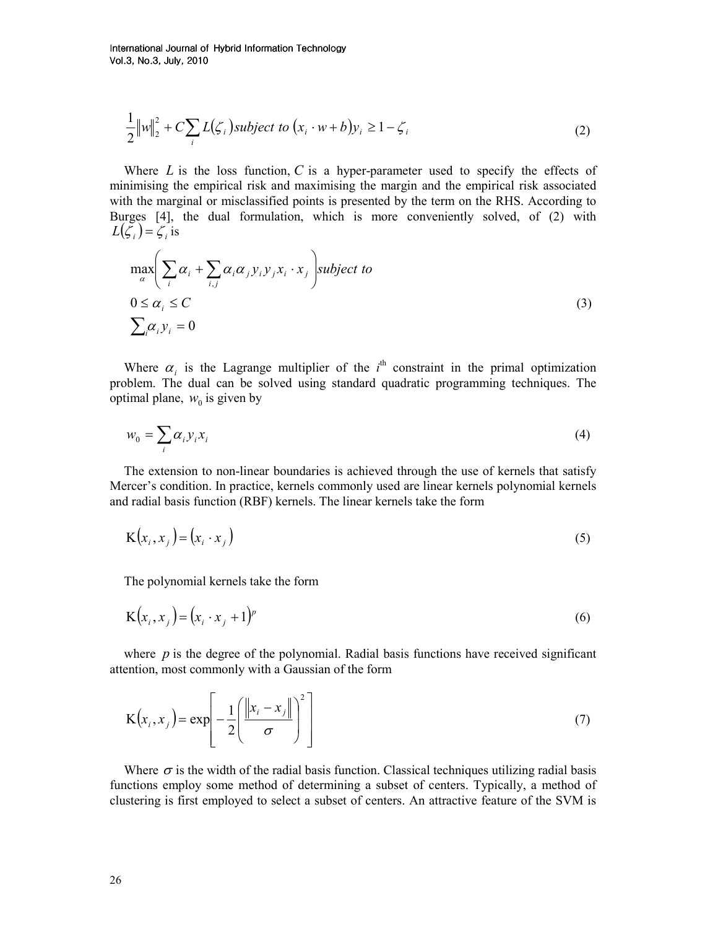International Journal of Hybrid Information Technology Vol.3, No.3, July, 2010

$$
\frac{1}{2}||w||_2^2 + C \sum_i L(\zeta_i) \text{ subject to } (x_i \cdot w + b)y_i \ge 1 - \zeta_i
$$
\n<sup>(2)</sup>

Where  $L$  is the loss function,  $C$  is a hyper-parameter used to specify the effects of minimising the empirical risk and maximising the margin and the empirical risk associated with the marginal or misclassified points is presented by the term on the RHS. According to Burges [4], the dual formulation, which is more conveniently solved, of (2) with  $L(\mathcal{L}_i) = \mathcal{L}_i$  is

$$
\max_{\alpha} \left( \sum_{i} \alpha_{i} + \sum_{i,j} \alpha_{i} \alpha_{j} y_{i} y_{j} x_{i} \cdot x_{j} \right) \text{subject to}
$$
\n
$$
0 \leq \alpha_{i} \leq C
$$
\n
$$
\sum_{i} \alpha_{i} y_{i} = 0
$$
\n(3)

Where  $\alpha_i$  is the Lagrange multiplier of the i<sup>th</sup> constraint in the primal optimization problem. The dual can be solved using standard quadratic programming techniques. The optimal plane,  $w_0$  is given by

$$
w_0 = \sum_i \alpha_i y_i x_i \tag{4}
$$

The extension to non-linear boundaries is achieved through the use of kernels that satisfy Mercer's condition. In practice, kernels commonly used are linear kernels polynomial kernels and radial basis function (RBF) kernels. The linear kernels take the form

$$
K(x_i, x_j) = (x_i \cdot x_j) \tag{5}
$$

The polynomial kernels take the form

$$
\mathbf{K}\left(x_i, x_j\right) = \left(x_i \cdot x_j + 1\right)^p\tag{6}
$$

where  $p$  is the degree of the polynomial. Radial basis functions have received significant attention, most commonly with a Gaussian of the form

$$
\mathbf{K}\left(x_{i}, x_{j}\right) = \exp\left[-\frac{1}{2}\left(\frac{\left\|x_{i} - x_{j}\right\|}{\sigma}\right)^{2}\right]
$$
\n(7)

Where  $\sigma$  is the width of the radial basis function. Classical techniques utilizing radial basis functions employ some method of determining a subset of centers. Typically, a method of clustering is first employed to select a subset of centers. An attractive feature of the SVM is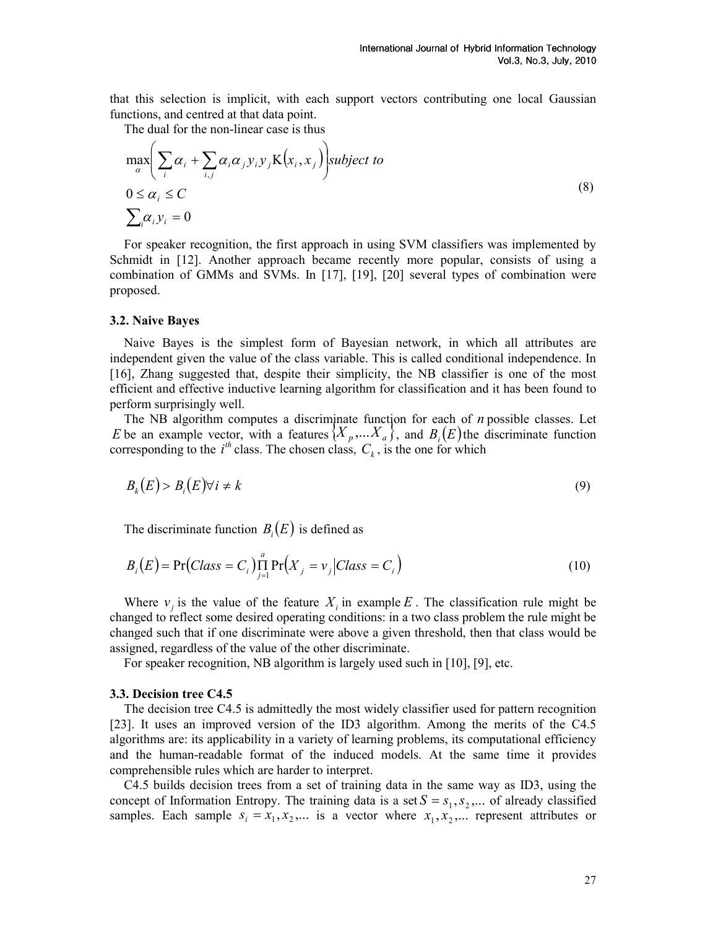that this selection is implicit, with each support vectors contributing one local Gaussian functions, and centred at that data point.

The dual for the non-linear case is thus

$$
\max_{\alpha} \left( \sum_{i} \alpha_{i} + \sum_{i,j} \alpha_{i} \alpha_{j} y_{i} y_{j} K(x_{i}, x_{j}) \right) \text{subject to}
$$
\n
$$
0 \leq \alpha_{i} \leq C
$$
\n
$$
\sum_{i} \alpha_{i} y_{i} = 0
$$
\n(8)

For speaker recognition, the first approach in using SVM classifiers was implemented by Schmidt in [12]. Another approach became recently more popular, consists of using a combination of GMMs and SVMs. In [17], [19], [20] several types of combination were proposed.

#### 3.2. Naive Bayes

Naive Bayes is the simplest form of Bayesian network, in which all attributes are independent given the value of the class variable. This is called conditional independence. In [16], Zhang suggested that, despite their simplicity, the NB classifier is one of the most efficient and effective inductive learning algorithm for classification and it has been found to perform surprisingly well.

The NB algorithm computes a discriminate function for each of  $n$  possible classes. Let E be an example vector, with a features  $\{X_p,...X_a\}$ , and  $B_i(E)$  the discriminate function corresponding to the  $i^{th}$  class. The chosen class,  $C_k$ , is the one for which

$$
B_k(E) > B_i(E) \forall i \neq k \tag{9}
$$

The discriminate function  $B_i(E)$  is defined as

$$
B_i(E) = \Pr(Class = C_i) \prod_{j=1}^{a} \Pr(X_j = v_j | Class = C_i)
$$
\n(10)

Where  $v_j$  is the value of the feature  $X_i$  in example E. The classification rule might be changed to reflect some desired operating conditions: in a two class problem the rule might be changed such that if one discriminate were above a given threshold, then that class would be assigned, regardless of the value of the other discriminate.

For speaker recognition, NB algorithm is largely used such in [10], [9], etc.

#### 3.3. Decision tree C4.5

The decision tree C4.5 is admittedly the most widely classifier used for pattern recognition [23]. It uses an improved version of the ID3 algorithm. Among the merits of the C4.5 algorithms are: its applicability in a variety of learning problems, its computational efficiency and the human-readable format of the induced models. At the same time it provides comprehensible rules which are harder to interpret.

C4.5 builds decision trees from a set of training data in the same way as ID3, using the concept of Information Entropy. The training data is a set  $S = s_1, s_2, \dots$  of already classified samples. Each sample  $s_i = x_1, x_2, ...$  is a vector where  $x_1, x_2, ...$  represent attributes or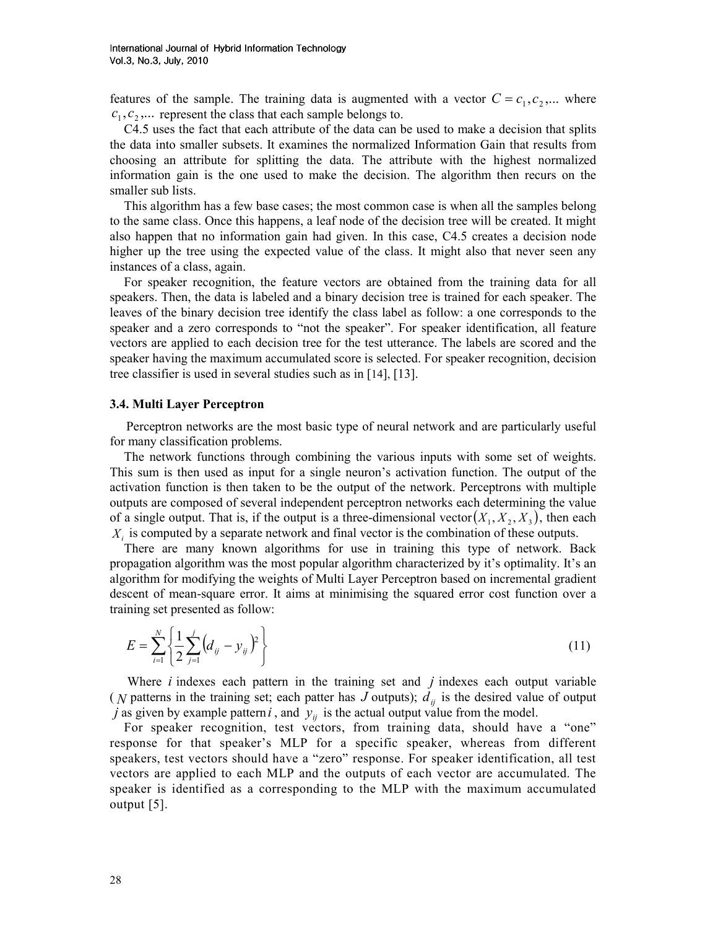features of the sample. The training data is augmented with a vector  $C = c_1, c_2, ...$  where  $c_1, c_2, \ldots$  represent the class that each sample belongs to.

C4.5 uses the fact that each attribute of the data can be used to make a decision that splits the data into smaller subsets. It examines the normalized Information Gain that results from choosing an attribute for splitting the data. The attribute with the highest normalized information gain is the one used to make the decision. The algorithm then recurs on the smaller sub lists.

This algorithm has a few base cases; the most common case is when all the samples belong to the same class. Once this happens, a leaf node of the decision tree will be created. It might also happen that no information gain had given. In this case, C4.5 creates a decision node higher up the tree using the expected value of the class. It might also that never seen any instances of a class, again.

For speaker recognition, the feature vectors are obtained from the training data for all speakers. Then, the data is labeled and a binary decision tree is trained for each speaker. The leaves of the binary decision tree identify the class label as follow: a one corresponds to the speaker and a zero corresponds to "not the speaker". For speaker identification, all feature vectors are applied to each decision tree for the test utterance. The labels are scored and the speaker having the maximum accumulated score is selected. For speaker recognition, decision tree classifier is used in several studies such as in [14], [13].

#### 3.4. Multi Layer Perceptron

Perceptron networks are the most basic type of neural network and are particularly useful for many classification problems.

The network functions through combining the various inputs with some set of weights. This sum is then used as input for a single neuron's activation function. The output of the activation function is then taken to be the output of the network. Perceptrons with multiple outputs are composed of several independent perceptron networks each determining the value of a single output. That is, if the output is a three-dimensional vector $(X_1, X_2, X_3)$ , then each  $X_i$  is computed by a separate network and final vector is the combination of these outputs.

There are many known algorithms for use in training this type of network. Back propagation algorithm was the most popular algorithm characterized by it's optimality. It's an algorithm for modifying the weights of Multi Layer Perceptron based on incremental gradient descent of mean-square error. It aims at minimising the squared error cost function over a training set presented as follow:

$$
E = \sum_{i=1}^{N} \left\{ \frac{1}{2} \sum_{j=1}^{j} \left( d_{ij} - y_{ij} \right)^2 \right\} \tag{11}
$$

Where  $i$  indexes each pattern in the training set and  $j$  indexes each output variable ( N patterns in the training set; each patter has J outputs);  $d_{ii}$  is the desired value of output j as given by example pattern i, and  $y_{ij}$  is the actual output value from the model.

For speaker recognition, test vectors, from training data, should have a "one" response for that speaker's MLP for a specific speaker, whereas from different speakers, test vectors should have a "zero" response. For speaker identification, all test vectors are applied to each MLP and the outputs of each vector are accumulated. The speaker is identified as a corresponding to the MLP with the maximum accumulated output [5].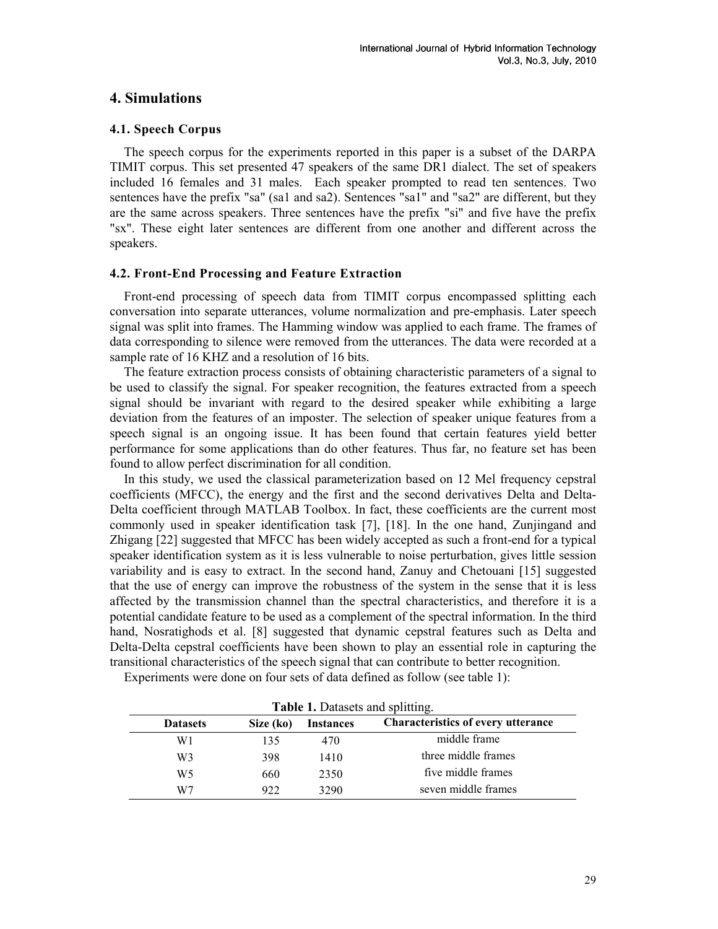# 4. Simulations

#### 4.1. Speech Corpus

The speech corpus for the experiments reported in this paper is a subset of the DARPA TIMIT corpus. This set presented 47 speakers of the same DR1 dialect. The set of speakers included 16 females and 31 males. Each speaker prompted to read ten sentences. Two sentences have the prefix "sa" (sa1 and sa2). Sentences "sa1" and "sa2" are different, but they are the same across speakers. Three sentences have the prefix "si" and five have the prefix "sx". These eight later sentences are different from one another and different across the speakers.

# 4.2. Front-End Processing and Feature Extraction

Front-end processing of speech data from TIMIT corpus encompassed splitting each conversation into separate utterances, volume normalization and pre-emphasis. Later speech signal was split into frames. The Hamming window was applied to each frame. The frames of data corresponding to silence were removed from the utterances. The data were recorded at a sample rate of 16 KHZ and a resolution of 16 bits.

The feature extraction process consists of obtaining characteristic parameters of a signal to be used to classify the signal. For speaker recognition, the features extracted from a speech signal should be invariant with regard to the desired speaker while exhibiting a large deviation from the features of an imposter. The selection of speaker unique features from a speech signal is an ongoing issue. It has been found that certain features yield better performance for some applications than do other features. Thus far, no feature set has been found to allow perfect discrimination for all condition.

In this study, we used the classical parameterization based on 12 Mel frequency cepstral coefficients (MFCC), the energy and the first and the second derivatives Delta and Delta-Delta coefficient through MATLAB Toolbox. In fact, these coefficients are the current most commonly used in speaker identification task [7], [18]. In the one hand, Zunjingand and Zhigang [22] suggested that MFCC has been widely accepted as such a front-end for a typical speaker identification system as it is less vulnerable to noise perturbation, gives little session variability and is easy to extract. In the second hand, Zanuy and Chetouani [15] suggested that the use of energy can improve the robustness of the system in the sense that it is less affected by the transmission channel than the spectral characteristics, and therefore it is a potential candidate feature to be used as a complement of the spectral information. In the third hand, Nosratighods et al. [8] suggested that dynamic cepstral features such as Delta and Delta-Delta cepstral coefficients have been shown to play an essential role in capturing the transitional characteristics of the speech signal that can contribute to better recognition.

Experiments were done on four sets of data defined as follow (see table 1):

|                 | <b>Table 1.</b> Datasets and splitting. |                  |                                           |  |  |  |  |
|-----------------|-----------------------------------------|------------------|-------------------------------------------|--|--|--|--|
| <b>Datasets</b> | Size (ko)                               | <b>Instances</b> | <b>Characteristics of every utterance</b> |  |  |  |  |
| W1              | 135                                     | 470              | middle frame                              |  |  |  |  |
| W3              | 398                                     | 1410             | three middle frames                       |  |  |  |  |
| W5              | 660                                     | 2350             | five middle frames                        |  |  |  |  |
| W7              | 922                                     | 3290             | seven middle frames                       |  |  |  |  |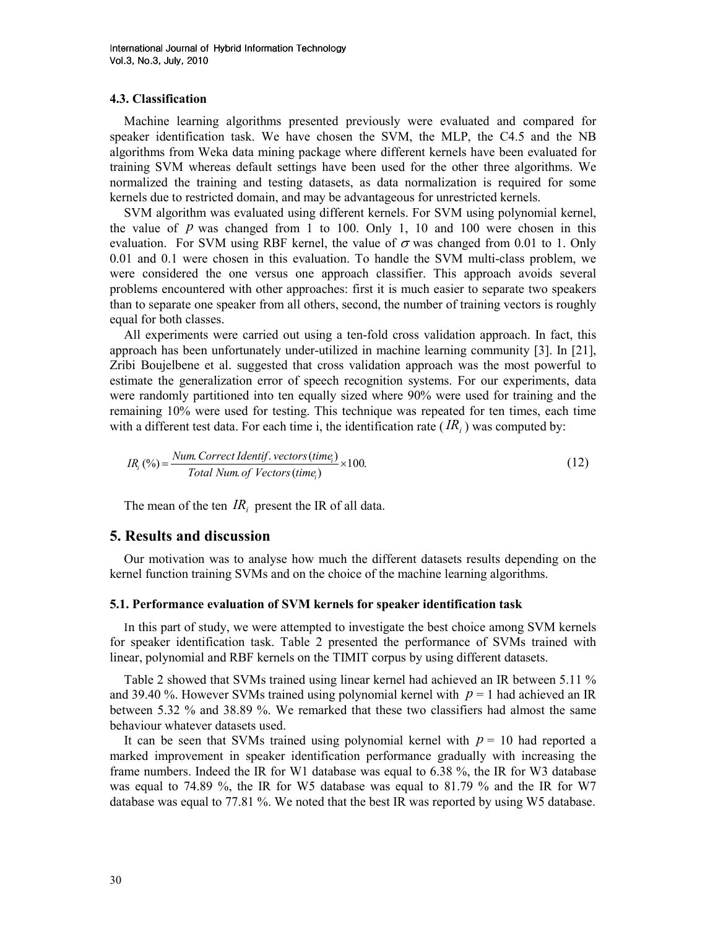#### 4.3. Classification

Machine learning algorithms presented previously were evaluated and compared for speaker identification task. We have chosen the SVM, the MLP, the C4.5 and the NB algorithms from Weka data mining package where different kernels have been evaluated for training SVM whereas default settings have been used for the other three algorithms. We normalized the training and testing datasets, as data normalization is required for some kernels due to restricted domain, and may be advantageous for unrestricted kernels.

SVM algorithm was evaluated using different kernels. For SVM using polynomial kernel, the value of  $p$  was changed from 1 to 100. Only 1, 10 and 100 were chosen in this evaluation. For SVM using RBF kernel, the value of  $\sigma$  was changed from 0.01 to 1. Only 0.01 and 0.1 were chosen in this evaluation. To handle the SVM multi-class problem, we were considered the one versus one approach classifier. This approach avoids several problems encountered with other approaches: first it is much easier to separate two speakers than to separate one speaker from all others, second, the number of training vectors is roughly equal for both classes.

All experiments were carried out using a ten-fold cross validation approach. In fact, this approach has been unfortunately under-utilized in machine learning community [3]. In [21], Zribi Boujelbene et al. suggested that cross validation approach was the most powerful to estimate the generalization error of speech recognition systems. For our experiments, data were randomly partitioned into ten equally sized where 90% were used for training and the remaining 10% were used for testing. This technique was repeated for ten times, each time with a different test data. For each time i, the identification rate  $(R_i)$  was computed by:

$$
IR_i(\%) = \frac{Num.\,Correct\,Identity.\,vectors\,(time_i)}{Total\,Num.\,of\,Vectors\,(time_i)} \times 100. \tag{12}
$$

The mean of the ten  $IR_i$  present the IR of all data.

# 5. Results and discussion

Our motivation was to analyse how much the different datasets results depending on the kernel function training SVMs and on the choice of the machine learning algorithms.

#### 5.1. Performance evaluation of SVM kernels for speaker identification task

In this part of study, we were attempted to investigate the best choice among SVM kernels for speaker identification task. Table 2 presented the performance of SVMs trained with linear, polynomial and RBF kernels on the TIMIT corpus by using different datasets.

Table 2 showed that SVMs trained using linear kernel had achieved an IR between 5.11 % and 39.40 %. However SVMs trained using polynomial kernel with  $p = 1$  had achieved an IR between 5.32 % and 38.89 %. We remarked that these two classifiers had almost the same behaviour whatever datasets used.

It can be seen that SVMs trained using polynomial kernel with  $p = 10$  had reported a marked improvement in speaker identification performance gradually with increasing the frame numbers. Indeed the IR for W1 database was equal to 6.38 %, the IR for W3 database was equal to 74.89 %, the IR for W5 database was equal to 81.79 % and the IR for W7 database was equal to 77.81 %. We noted that the best IR was reported by using W5 database.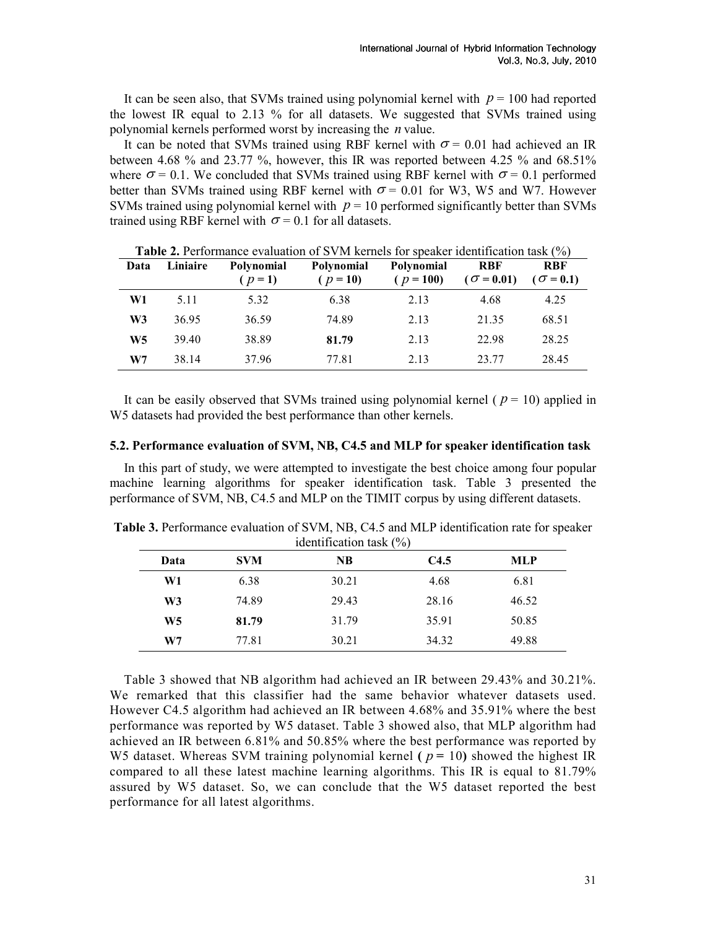It can be seen also, that SVMs trained using polynomial kernel with  $p = 100$  had reported the lowest IR equal to 2.13 % for all datasets. We suggested that SVMs trained using polynomial kernels performed worst by increasing the  $n$  value.

It can be noted that SVMs trained using RBF kernel with  $\sigma = 0.01$  had achieved an IR between 4.68 % and 23.77 %, however, this IR was reported between 4.25 % and 68.51% where  $\sigma = 0.1$ . We concluded that SVMs trained using RBF kernel with  $\sigma = 0.1$  performed better than SVMs trained using RBF kernel with  $\sigma = 0.01$  for W3, W5 and W7. However SVMs trained using polynomial kernel with  $p = 10$  performed significantly better than SVMs trained using RBF kernel with  $\sigma$  = 0.1 for all datasets.

| Data           | Liniaire | <b>Polynomial</b><br>$(p=1)$ | Polynomial<br>$(p = 10)$ | Polynomial<br>$(p = 100)$ | <b>RBF</b><br>$(\sigma = 0.01)$ | <b>RBF</b><br>$\sigma = 0.1$ |
|----------------|----------|------------------------------|--------------------------|---------------------------|---------------------------------|------------------------------|
| W1             | 5.11     | 5.32                         | 6.38                     | 2.13                      | 4.68                            | 4.25                         |
| W <sub>3</sub> | 36.95    | 36.59                        | 74.89                    | 2.13                      | 21.35                           | 68.51                        |
| W <sub>5</sub> | 39.40    | 38.89                        | 81.79                    | 2.13                      | 22.98                           | 28.25                        |
| W7             | 38.14    | 37.96                        | 77.81                    | 2.13                      | 23.77                           | 28.45                        |

Table 2. Performance evaluation of SVM kernels for speaker identification task (%)

It can be easily observed that SVMs trained using polynomial kernel ( $p = 10$ ) applied in W5 datasets had provided the best performance than other kernels.

#### 5.2. Performance evaluation of SVM, NB, C4.5 and MLP for speaker identification task

In this part of study, we were attempted to investigate the best choice among four popular machine learning algorithms for speaker identification task. Table 3 presented the performance of SVM, NB, C4.5 and MLP on the TIMIT corpus by using different datasets.

| $\frac{1}{2}$ |            |       |       |            |  |  |  |
|---------------|------------|-------|-------|------------|--|--|--|
| Data          | <b>SVM</b> | NB    | C4.5  | <b>MLP</b> |  |  |  |
| W1            | 6.38       | 30.21 | 4.68  | 6.81       |  |  |  |
| W3            | 74.89      | 29.43 | 28.16 | 46.52      |  |  |  |
| W5            | 81.79      | 31.79 | 35.91 | 50.85      |  |  |  |
| W7            | 77.81      | 30.21 | 34.32 | 49.88      |  |  |  |

Table 3. Performance evaluation of SVM, NB, C4.5 and MLP identification rate for speaker identification task (%)

Table 3 showed that NB algorithm had achieved an IR between 29.43% and 30.21%. We remarked that this classifier had the same behavior whatever datasets used. However C4.5 algorithm had achieved an IR between 4.68% and 35.91% where the best performance was reported by W5 dataset. Table 3 showed also, that MLP algorithm had achieved an IR between 6.81% and 50.85% where the best performance was reported by W5 dataset. Whereas SVM training polynomial kernel ( $p = 10$ ) showed the highest IR compared to all these latest machine learning algorithms. This IR is equal to 81.79% assured by W5 dataset. So, we can conclude that the W5 dataset reported the best performance for all latest algorithms.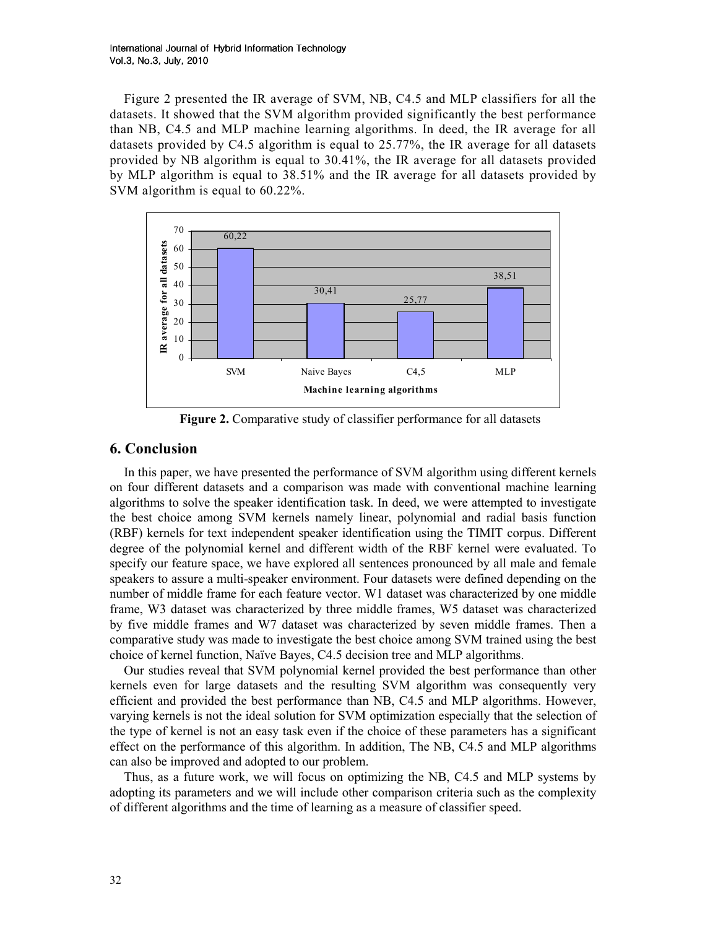Figure 2 presented the IR average of SVM, NB, C4.5 and MLP classifiers for all the datasets. It showed that the SVM algorithm provided significantly the best performance than NB, C4.5 and MLP machine learning algorithms. In deed, the IR average for all datasets provided by C4.5 algorithm is equal to 25.77%, the IR average for all datasets provided by NB algorithm is equal to 30.41%, the IR average for all datasets provided by MLP algorithm is equal to 38.51% and the IR average for all datasets provided by SVM algorithm is equal to 60.22%.



Figure 2. Comparative study of classifier performance for all datasets

# 6. Conclusion

In this paper, we have presented the performance of SVM algorithm using different kernels on four different datasets and a comparison was made with conventional machine learning algorithms to solve the speaker identification task. In deed, we were attempted to investigate the best choice among SVM kernels namely linear, polynomial and radial basis function (RBF) kernels for text independent speaker identification using the TIMIT corpus. Different degree of the polynomial kernel and different width of the RBF kernel were evaluated. To specify our feature space, we have explored all sentences pronounced by all male and female speakers to assure a multi-speaker environment. Four datasets were defined depending on the number of middle frame for each feature vector. W1 dataset was characterized by one middle frame, W3 dataset was characterized by three middle frames, W5 dataset was characterized by five middle frames and W7 dataset was characterized by seven middle frames. Then a comparative study was made to investigate the best choice among SVM trained using the best choice of kernel function, Naïve Bayes, C4.5 decision tree and MLP algorithms.

Our studies reveal that SVM polynomial kernel provided the best performance than other kernels even for large datasets and the resulting SVM algorithm was consequently very efficient and provided the best performance than NB, C4.5 and MLP algorithms. However, varying kernels is not the ideal solution for SVM optimization especially that the selection of the type of kernel is not an easy task even if the choice of these parameters has a significant effect on the performance of this algorithm. In addition, The NB, C4.5 and MLP algorithms can also be improved and adopted to our problem.

Thus, as a future work, we will focus on optimizing the NB, C4.5 and MLP systems by adopting its parameters and we will include other comparison criteria such as the complexity of different algorithms and the time of learning as a measure of classifier speed.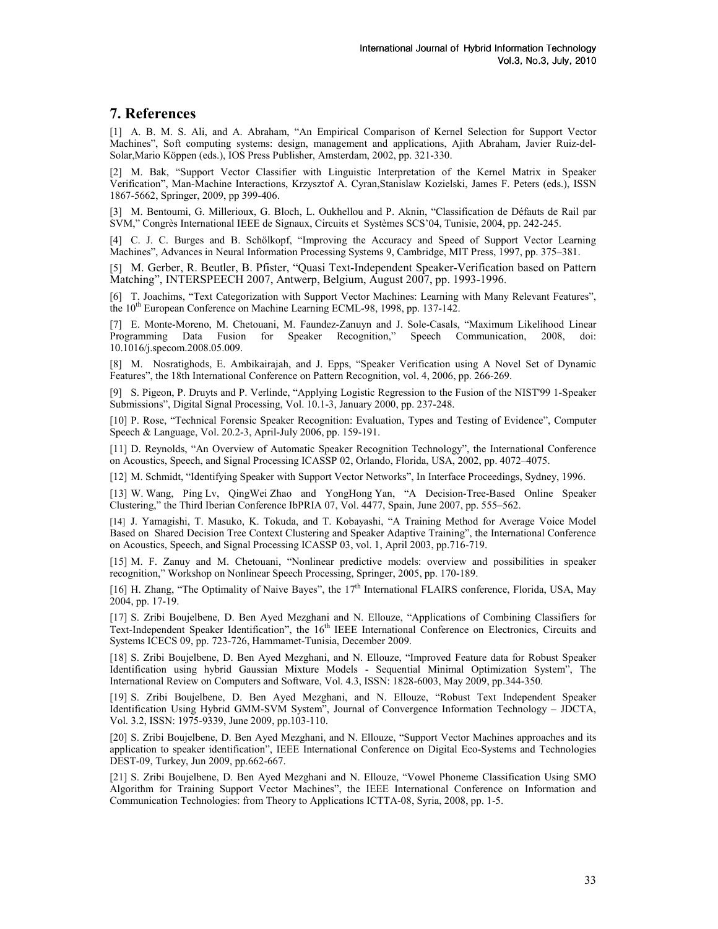# 7. References

[1] A. B. M. S. Ali, and A. Abraham, "An Empirical Comparison of Kernel Selection for Support Vector Machines", Soft computing systems: design, management and applications, Ajith Abraham, Javier Ruiz-del-Solar,Mario Köppen (eds.), IOS Press Publisher, Amsterdam, 2002, pp. 321-330.

[2] M. Bak, "Support Vector Classifier with Linguistic Interpretation of the Kernel Matrix in Speaker Verification", Man-Machine Interactions, Krzysztof A. Cyran,Stanislaw Kozielski, James F. Peters (eds.), ISSN 1867-5662, Springer, 2009, pp 399-406.

[3] M. Bentoumi, G. Millerioux, G. Bloch, L. Oukhellou and P. Aknin, "Classification de Défauts de Rail par SVM," Congrès International IEEE de Signaux, Circuits et Systèmes SCS'04, Tunisie, 2004, pp. 242-245.

[4] C. J. C. Burges and B. Schölkopf, "Improving the Accuracy and Speed of Support Vector Learning Machines", Advances in Neural Information Processing Systems 9, Cambridge, MIT Press, 1997, pp. 375–381.

[5] M. Gerber, R. Beutler, B. Pfister, "Quasi Text-Independent Speaker-Verification based on Pattern Matching", INTERSPEECH 2007, Antwerp, Belgium, August 2007, pp. 1993-1996.

[6] T. Joachims, "Text Categorization with Support Vector Machines: Learning with Many Relevant Features", the 10<sup>th</sup> European Conference on Machine Learning ECML-98, 1998, pp. 137-142.

[7] E. Monte-Moreno, M. Chetouani, M. Faundez-Zanuyn and J. Sole-Casals, "Maximum Likelihood Linear Programming Data Fusion for Speaker Recognition," Speech Communication, 2008, doi: 10.1016/j.specom.2008.05.009.

[8] M. Nosratighods, E. Ambikairajah, and J. Epps, "Speaker Verification using A Novel Set of Dynamic Features", the 18th International Conference on Pattern Recognition, vol. 4, 2006, pp. 266-269.

[9] S. Pigeon, P. Druyts and P. Verlinde, "Applying Logistic Regression to the Fusion of the NIST'99 1-Speaker Submissions", Digital Signal Processing, Vol. 10.1-3, January 2000, pp. 237-248.

[10] P. Rose, "Technical Forensic Speaker Recognition: Evaluation, Types and Testing of Evidence", Computer Speech & Language, Vol. 20.2-3, April-July 2006, pp. 159-191.

[11] D. Reynolds, "An Overview of Automatic Speaker Recognition Technology", the International Conference on Acoustics, Speech, and Signal Processing ICASSP 02, Orlando, Florida, USA, 2002, pp. 4072–4075.

[12] M. Schmidt, "Identifying Speaker with Support Vector Networks", In Interface Proceedings, Sydney, 1996.

[13] W. Wang, Ping Lv, QingWei Zhao and YongHong Yan, "A Decision-Tree-Based Online Speaker Clustering," the Third Iberian Conference IbPRIA 07, Vol. 4477, Spain, June 2007, pp. 555–562.

[14] J. Yamagishi, T. Masuko, K. Tokuda, and T. Kobayashi, "A Training Method for Average Voice Model Based on Shared Decision Tree Context Clustering and Speaker Adaptive Training", the International Conference on Acoustics, Speech, and Signal Processing ICASSP 03, vol. 1, April 2003, pp.716-719.

[15] M. F. Zanuy and M. Chetouani, "Nonlinear predictive models: overview and possibilities in speaker recognition," Workshop on Nonlinear Speech Processing, Springer, 2005, pp. 170-189.

[16] H. Zhang, "The Optimality of Naive Bayes", the 17<sup>th</sup> International FLAIRS conference, Florida, USA, May 2004, pp. 17-19.

[17] S. Zribi Boujelbene, D. Ben Ayed Mezghani and N. Ellouze, "Applications of Combining Classifiers for Text-Independent Speaker Identification", the 16<sup>th</sup> IEEE International Conference on Electronics, Circuits and Systems ICECS 09, pp. 723-726, Hammamet-Tunisia, December 2009.

[18] S. Zribi Boujelbene, D. Ben Ayed Mezghani, and N. Ellouze, "Improved Feature data for Robust Speaker Identification using hybrid Gaussian Mixture Models - Sequential Minimal Optimization System", The International Review on Computers and Software, Vol. 4.3, ISSN: 1828-6003, May 2009, pp.344-350.

[19] S. Zribi Boujelbene, D. Ben Ayed Mezghani, and N. Ellouze, "Robust Text Independent Speaker Identification Using Hybrid GMM-SVM System", Journal of Convergence Information Technology – JDCTA, Vol. 3.2, ISSN: 1975-9339, June 2009, pp.103-110.

[20] S. Zribi Boujelbene, D. Ben Ayed Mezghani, and N. Ellouze, "Support Vector Machines approaches and its application to speaker identification", IEEE International Conference on Digital Eco-Systems and Technologies DEST-09, Turkey, Jun 2009, pp.662-667.

[21] S. Zribi Boujelbene, D. Ben Ayed Mezghani and N. Ellouze, "Vowel Phoneme Classification Using SMO Algorithm for Training Support Vector Machines", the IEEE International Conference on Information and Communication Technologies: from Theory to Applications ICTTA-08, Syria, 2008, pp. 1-5.